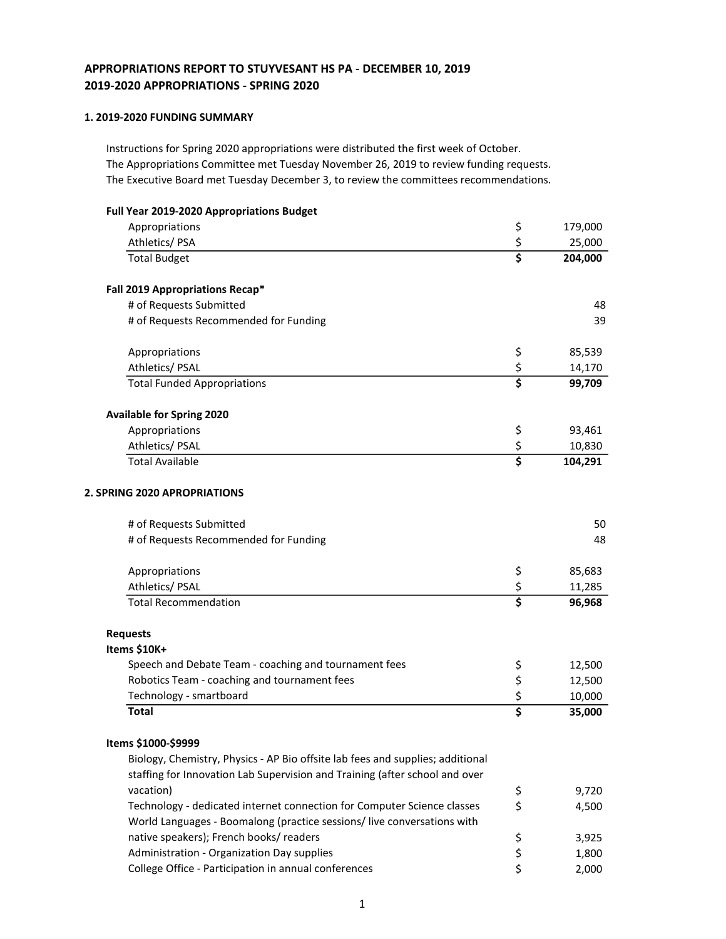# APPROPRIATIONS REPORT TO STUYVESANT HS PA - DECEMBER 10, 2019 2019-2020 APPROPRIATIONS - SPRING 2020

## 1. 2019-2020 FUNDING SUMMARY

Instructions for Spring 2020 appropriations were distributed the first week of October. The Appropriations Committee met Tuesday November 26, 2019 to review funding requests. The Executive Board met Tuesday December 3, to review the committees recommendations.

| Full Year 2019-2020 Appropriations Budget                                                                                                                     |               |         |
|---------------------------------------------------------------------------------------------------------------------------------------------------------------|---------------|---------|
| Appropriations                                                                                                                                                | \$            | 179,000 |
| Athletics/PSA                                                                                                                                                 | $rac{5}{5}$   | 25,000  |
| <b>Total Budget</b>                                                                                                                                           |               | 204,000 |
| Fall 2019 Appropriations Recap*                                                                                                                               |               |         |
| # of Requests Submitted                                                                                                                                       |               | 48      |
| # of Requests Recommended for Funding                                                                                                                         |               | 39      |
| Appropriations                                                                                                                                                | \$            | 85,539  |
| Athletics/ PSAL                                                                                                                                               | $rac{5}{5}$   | 14,170  |
| <b>Total Funded Appropriations</b>                                                                                                                            |               | 99,709  |
| <b>Available for Spring 2020</b>                                                                                                                              |               |         |
| Appropriations                                                                                                                                                | \$            | 93,461  |
| Athletics/ PSAL                                                                                                                                               | $rac{5}{5}$   | 10,830  |
| <b>Total Available</b>                                                                                                                                        |               | 104,291 |
| # of Requests Submitted<br># of Requests Recommended for Funding                                                                                              |               | 50      |
|                                                                                                                                                               |               | 48      |
| Appropriations                                                                                                                                                | \$            | 85,683  |
| Athletics/ PSAL                                                                                                                                               | $rac{5}{5}$   | 11,285  |
| <b>Total Recommendation</b>                                                                                                                                   |               | 96,968  |
| <b>Requests</b>                                                                                                                                               |               |         |
| Items \$10K+                                                                                                                                                  |               |         |
| Speech and Debate Team - coaching and tournament fees                                                                                                         | \$            | 12,500  |
| Robotics Team - coaching and tournament fees                                                                                                                  | $\frac{5}{5}$ | 12,500  |
| Technology - smartboard                                                                                                                                       |               | 10,000  |
| <b>Total</b>                                                                                                                                                  |               | 35,000  |
| Items \$1000-\$9999                                                                                                                                           |               |         |
| Biology, Chemistry, Physics - AP Bio offsite lab fees and supplies; additional<br>staffing for Innovation Lab Supervision and Training (after school and over |               |         |
| vacation)                                                                                                                                                     | \$            | 9,720   |
| Technology - dedicated internet connection for Computer Science classes                                                                                       | \$            | 4,500   |
| World Languages - Boomalong (practice sessions/ live conversations with                                                                                       |               |         |
| native speakers); French books/ readers                                                                                                                       | \$            | 3,925   |
| Administration - Organization Day supplies                                                                                                                    | \$            | 1,800   |

College Office - Participation in annual conferences  $\qquad \qquad$  \$ 2,000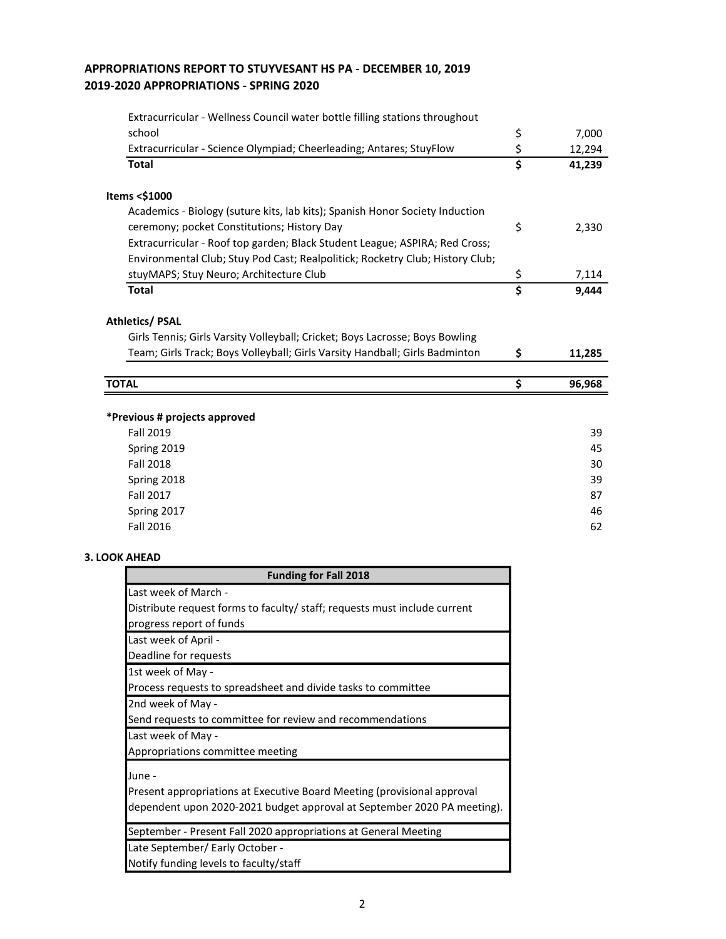# APPROPRIATIONS REPORT TO STUYVESANT HS PA - DECEMBER 10, 2019 2019-2020 APPROPRIATIONS - SPRING 2020

| Extracurricular - Wellness Council water bottle filling stations throughout   |                                      |        |
|-------------------------------------------------------------------------------|--------------------------------------|--------|
| school                                                                        | \$                                   | 7,000  |
| Extracurricular - Science Olympiad; Cheerleading; Antares; StuyFlow           | \$                                   | 12,294 |
| <b>Total</b>                                                                  | $\overline{\boldsymbol{\mathsf{s}}}$ | 41,239 |
| Items <\$1000                                                                 |                                      |        |
| Academics - Biology (suture kits, lab kits); Spanish Honor Society Induction  |                                      |        |
| ceremony; pocket Constitutions; History Day                                   | \$                                   | 2,330  |
| Extracurricular - Roof top garden; Black Student League; ASPIRA; Red Cross;   |                                      |        |
| Environmental Club; Stuy Pod Cast; Realpolitick; Rocketry Club; History Club; |                                      |        |
| stuyMAPS; Stuy Neuro; Architecture Club                                       | \$                                   | 7,114  |
| <b>Total</b>                                                                  | $\overline{\mathsf{s}}$              | 9,444  |
| <b>Athletics/ PSAL</b>                                                        |                                      |        |
| Girls Tennis; Girls Varsity Volleyball; Cricket; Boys Lacrosse; Boys Bowling  |                                      |        |
| Team; Girls Track; Boys Volleyball; Girls Varsity Handball; Girls Badminton   | \$                                   | 11,285 |
|                                                                               |                                      |        |
| <b>TOTAL</b>                                                                  | \$                                   | 96,968 |
|                                                                               |                                      |        |
| *Previous # projects approved                                                 |                                      |        |
| <b>Fall 2019</b>                                                              |                                      | 39     |
| Spring 2019                                                                   |                                      | 45     |
| <b>Fall 2018</b>                                                              |                                      | 30     |
| Spring 2018                                                                   |                                      | 39     |
| <b>Fall 2017</b>                                                              |                                      | 87     |
| Spring 2017                                                                   |                                      | 46     |
| <b>Fall 2016</b>                                                              |                                      | 62     |
| 3. LOOK AHEAD                                                                 |                                      |        |
| <b>Funding for Fall 2018</b>                                                  |                                      |        |
| Last week of March -                                                          |                                      |        |
| Distribute request forms to faculty/ staff; requests must include current     |                                      |        |
| progress report of funds                                                      |                                      |        |
| Last week of April -                                                          |                                      |        |
| Deadline for requests                                                         |                                      |        |
| 1st week of May -                                                             |                                      |        |
| Process requests to spreadsheet and divide tasks to committee                 |                                      |        |

2nd week of May -

Send requests to committee for review and recommendations

Last week of May -

Appropriations committee meeting

June -

Present appropriations at Executive Board Meeting (provisional approval dependent upon 2020-2021 budget approval at September 2020 PA meeting).

September - Present Fall 2020 appropriations at General Meeting

Late September/ Early October -

Notify funding levels to faculty/staff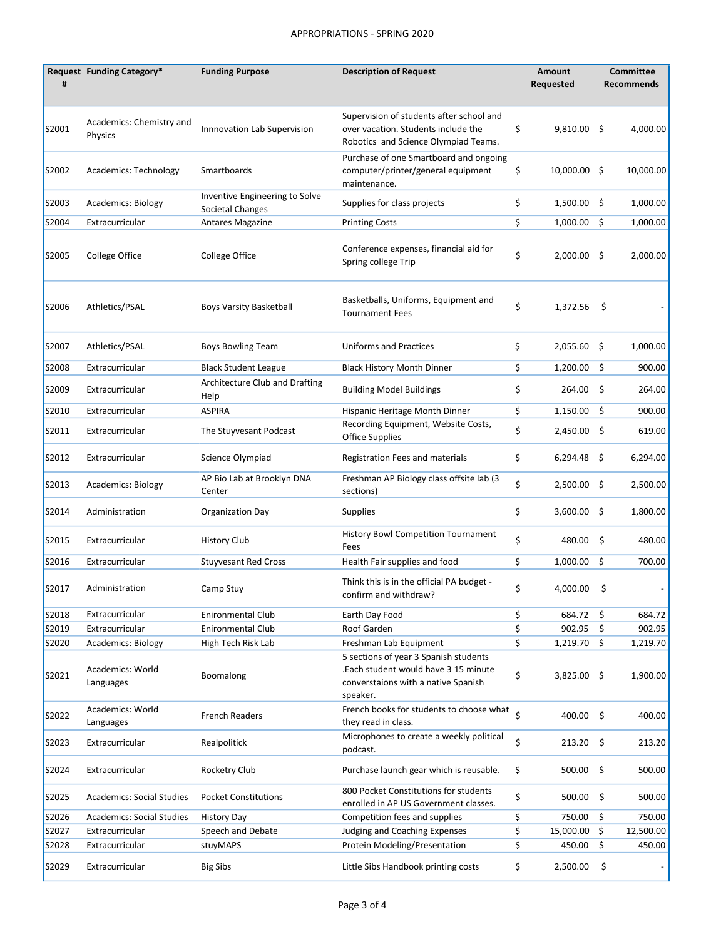## APPROPRIATIONS - SPRING 2020

| #     | Request Funding Category*           | <b>Funding Purpose</b>                             | <b>Description of Request</b>                                                                                                    |         | Amount<br>Requested |      | <b>Committee</b><br><b>Recommends</b> |
|-------|-------------------------------------|----------------------------------------------------|----------------------------------------------------------------------------------------------------------------------------------|---------|---------------------|------|---------------------------------------|
| S2001 | Academics: Chemistry and<br>Physics | Innnovation Lab Supervision                        | Supervision of students after school and<br>over vacation. Students include the<br>Robotics and Science Olympiad Teams.          | \$      | 9,810.00 \$         |      | 4,000.00                              |
| S2002 | Academics: Technology               | Smartboards                                        | Purchase of one Smartboard and ongoing<br>computer/printer/general equipment<br>maintenance.                                     | \$      | $10,000.00$ \$      |      | 10,000.00                             |
| S2003 | Academics: Biology                  | Inventive Engineering to Solve<br>Societal Changes | Supplies for class projects                                                                                                      | \$      | $1,500.00$ \$       |      | 1,000.00                              |
| S2004 | Extracurricular                     | <b>Antares Magazine</b>                            | <b>Printing Costs</b>                                                                                                            | \$      | 1,000.00            | Ŝ.   | 1,000.00                              |
| S2005 | College Office                      | College Office                                     | Conference expenses, financial aid for<br>Spring college Trip                                                                    | \$      | $2,000.00$ \$       |      | 2,000.00                              |
| S2006 | Athletics/PSAL                      | <b>Boys Varsity Basketball</b>                     | Basketballs, Uniforms, Equipment and<br><b>Tournament Fees</b>                                                                   | \$      | 1,372.56            | \$   |                                       |
| S2007 | Athletics/PSAL                      | Boys Bowling Team                                  | <b>Uniforms and Practices</b>                                                                                                    | \$      | 2,055.60 \$         |      | 1,000.00                              |
| S2008 | Extracurricular                     | <b>Black Student League</b>                        | <b>Black History Month Dinner</b>                                                                                                | \$      | $1,200.00$ \$       |      | 900.00                                |
| S2009 | Extracurricular                     | Architecture Club and Drafting<br>Help             | <b>Building Model Buildings</b>                                                                                                  | \$      | 264.00              | - \$ | 264.00                                |
| S2010 | Extracurricular                     | <b>ASPIRA</b>                                      | Hispanic Heritage Month Dinner                                                                                                   | \$      | $1,150.00$ \$       |      | 900.00                                |
| S2011 | Extracurricular                     | The Stuyvesant Podcast                             | Recording Equipment, Website Costs,<br><b>Office Supplies</b>                                                                    | \$      | $2,450.00$ \$       |      | 619.00                                |
| S2012 | Extracurricular                     | Science Olympiad                                   | Registration Fees and materials                                                                                                  | \$      | 6,294.48 \$         |      | 6,294.00                              |
| S2013 | <b>Academics: Biology</b>           | AP Bio Lab at Brooklyn DNA<br>Center               | Freshman AP Biology class offsite lab (3)<br>sections)                                                                           | \$      | 2,500.00 \$         |      | 2,500.00                              |
| S2014 | Administration                      | Organization Day                                   | <b>Supplies</b>                                                                                                                  | \$      | 3,600.00 \$         |      | 1,800.00                              |
| S2015 | Extracurricular                     | <b>History Club</b>                                | <b>History Bowl Competition Tournament</b><br>Fees                                                                               | \$      | 480.00 \$           |      | 480.00                                |
| S2016 | Extracurricular                     | <b>Stuyvesant Red Cross</b>                        | Health Fair supplies and food                                                                                                    | \$      | 1,000.00            | -\$  | 700.00                                |
| S2017 | Administration                      | Camp Stuy                                          | Think this is in the official PA budget -<br>confirm and withdraw?                                                               | \$      | 4,000.00            | \$   |                                       |
| S2018 | Extracurricular                     | <b>Enironmental Club</b>                           | Earth Day Food                                                                                                                   | \$      | 684.72              | \$   | 684.72                                |
| S2019 | Extracurricular                     | <b>Enironmental Club</b>                           | Roof Garden                                                                                                                      | \$      | 902.95              | \$   | 902.95                                |
| S2020 | <b>Academics: Biology</b>           | High Tech Risk Lab                                 | Freshman Lab Equipment                                                                                                           | \$      | 1,219.70            | \$   | 1,219.70                              |
| S2021 | Academics: World<br>Languages       | Boomalong                                          | 5 sections of year 3 Spanish students<br>.Each student would have 3 15 minute<br>converstaions with a native Spanish<br>speaker. | \$      | 3,825.00 \$         |      | 1,900.00                              |
| S2022 | Academics: World<br>Languages       | French Readers                                     | French books for students to choose what<br>they read in class.                                                                  | $\zeta$ | 400.00 \$           |      | 400.00                                |
| S2023 | Extracurricular                     | Realpolitick                                       | Microphones to create a weekly political<br>podcast.                                                                             | \$      | $213.20$ \$         |      | 213.20                                |
| S2024 | Extracurricular                     | Rocketry Club                                      | Purchase launch gear which is reusable.                                                                                          | \$      | 500.00              | \$   | 500.00                                |
| S2025 | <b>Academics: Social Studies</b>    | <b>Pocket Constitutions</b>                        | 800 Pocket Constitutions for students<br>enrolled in AP US Government classes.                                                   | \$      | 500.00 \$           |      | 500.00                                |
| S2026 | <b>Academics: Social Studies</b>    | <b>History Day</b>                                 | Competition fees and supplies                                                                                                    | \$      | 750.00              | \$   | 750.00                                |
| S2027 | Extracurricular                     | Speech and Debate                                  | Judging and Coaching Expenses                                                                                                    | \$      | 15,000.00           | \$   | 12,500.00                             |
| S2028 | Extracurricular                     | stuyMAPS                                           | Protein Modeling/Presentation                                                                                                    | \$      | 450.00              | \$   | 450.00                                |
| S2029 | Extracurricular                     | <b>Big Sibs</b>                                    | Little Sibs Handbook printing costs                                                                                              | \$      | 2,500.00            | \$   |                                       |